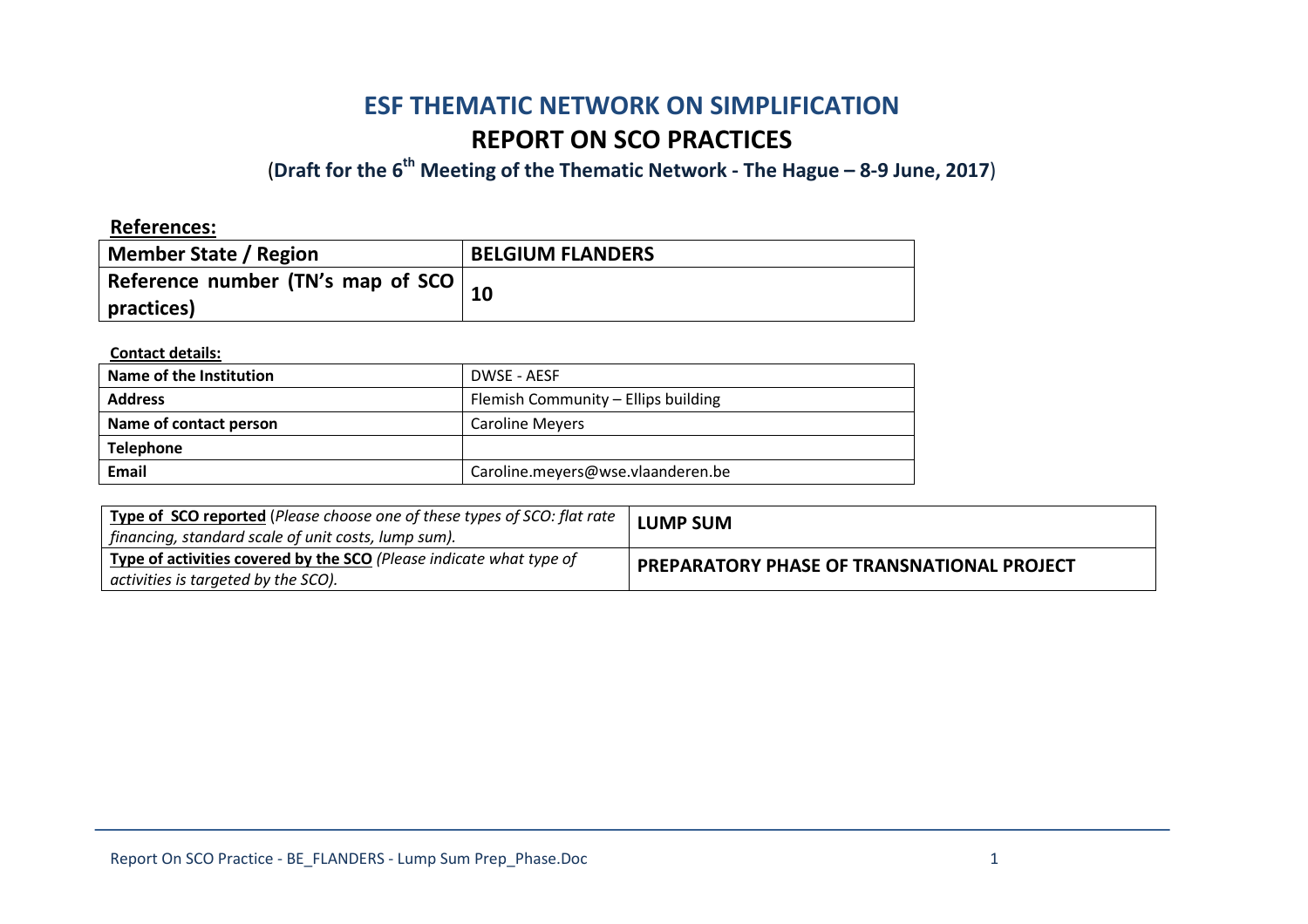# **ESF THEMATIC NETWORK ON SIMPLIFICATION REPORT ON SCO PRACTICES**

(**Draft for the 6th Meeting of the Thematic Network - The Hague – 8-9 June, 2017**)

| <b>References:</b>                                         |                         |
|------------------------------------------------------------|-------------------------|
| <b>Member State / Region</b>                               | <b>BELGIUM FLANDERS</b> |
| Reference number (TN's map of SCO $\vert$ 10<br>practices) |                         |

**Contact details:** 

| Name of the Institution | DWSE - AESF                         |  |
|-------------------------|-------------------------------------|--|
| <b>Address</b>          | Flemish Community - Ellips building |  |
| Name of contact person  | <b>Caroline Meyers</b>              |  |
| <b>Telephone</b>        |                                     |  |
| Email                   | Caroline.meyers@wse.vlaanderen.be   |  |

| Type of SCO reported (Please choose one of these types of SCO: flat rate<br>financing, standard scale of unit costs, lump sum). | <b>LUMP SUM</b>                                   |
|---------------------------------------------------------------------------------------------------------------------------------|---------------------------------------------------|
| Type of activities covered by the SCO (Please indicate what type of<br>activities is targeted by the SCO).                      | <b>PREPARATORY PHASE OF TRANSNATIONAL PROJECT</b> |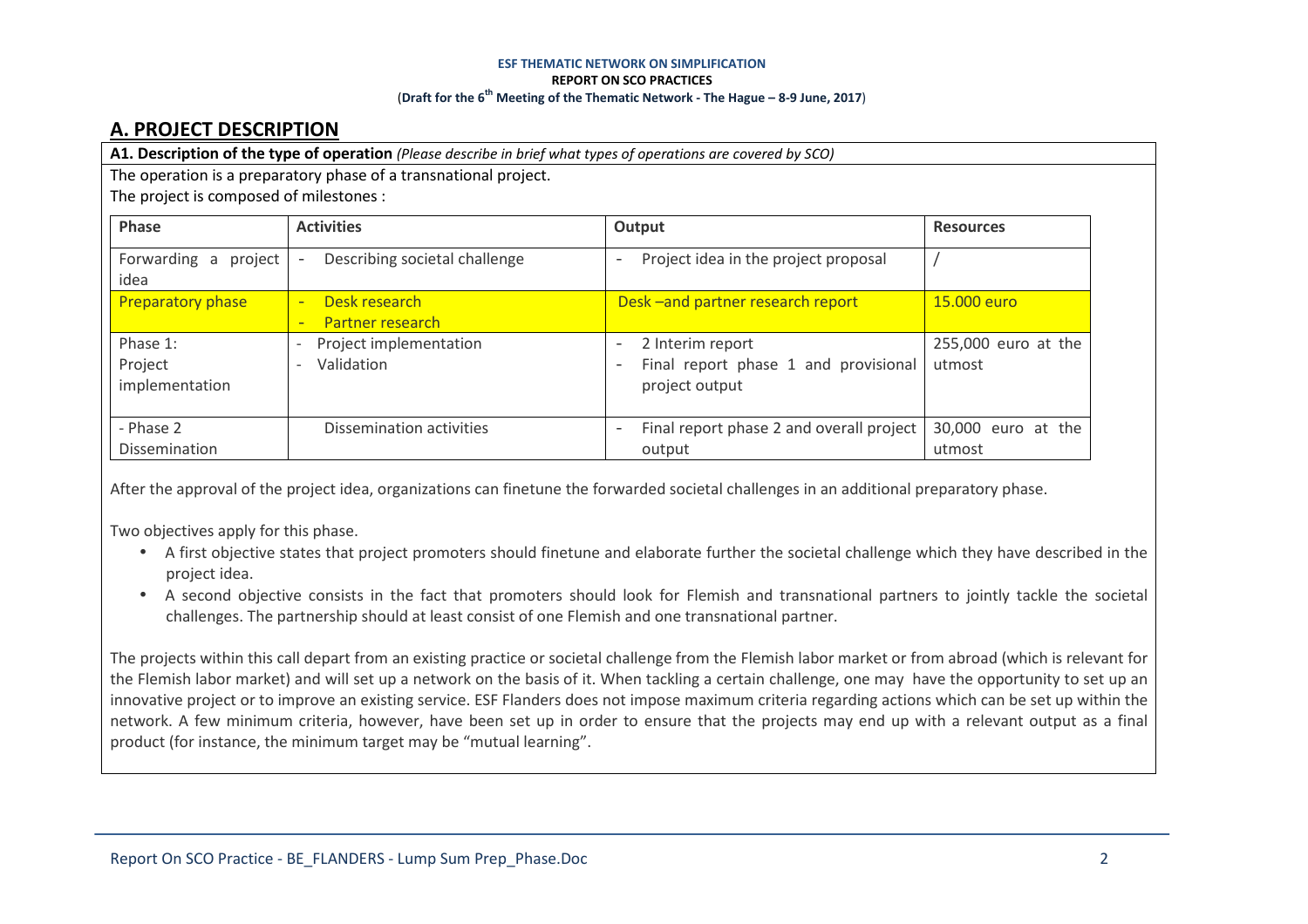## **A. PROJECT DESCRIPTION**

**A1. Description of the type of operation** *(Please describe in brief what types of operations are covered by SCO)*

The operation is a preparatory phase of a transnational project.

The project is composed of milestones :

| Phase                                 | <b>Activities</b>                                                                  | Output                                                                                                                      | <b>Resources</b>              |
|---------------------------------------|------------------------------------------------------------------------------------|-----------------------------------------------------------------------------------------------------------------------------|-------------------------------|
| Forwarding<br>project<br>a<br>idea    | Describing societal challenge                                                      | Project idea in the project proposal<br>$\overline{\phantom{0}}$                                                            |                               |
| <b>Preparatory phase</b>              | Desk research<br>$\equiv$<br><b>Partner research</b><br>-                          | Desk-and partner research report                                                                                            | 15,000 euro                   |
| Phase 1:<br>Project<br>implementation | Project implementation<br>$\overline{a}$<br>Validation<br>$\overline{\phantom{a}}$ | 2 Interim report<br>$\qquad \qquad -$<br>Final report phase 1 and provisional<br>$\overline{\phantom{0}}$<br>project output | 255,000 euro at the<br>utmost |
| - Phase 2<br><b>Dissemination</b>     | Dissemination activities                                                           | Final report phase 2 and overall project<br>$\qquad \qquad -$<br>output                                                     | 30,000 euro at the<br>utmost  |

After the approval of the project idea, organizations can finetune the forwarded societal challenges in an additional preparatory phase.

Two objectives apply for this phase.

- A first objective states that project promoters should finetune and elaborate further the societal challenge which they have described in the project idea.
- A second objective consists in the fact that promoters should look for Flemish and transnational partners to jointly tackle the societal challenges. The partnership should at least consist of one Flemish and one transnational partner.

The projects within this call depart from an existing practice or societal challenge from the Flemish labor market or from abroad (which is relevant for the Flemish labor market) and will set up a network on the basis of it. When tackling a certain challenge, one may have the opportunity to set up an innovative project or to improve an existing service. ESF Flanders does not impose maximum criteria regarding actions which can be set up within the network. A few minimum criteria, however, have been set up in order to ensure that the projects may end up with a relevant output as a final product (for instance, the minimum target may be "mutual learning".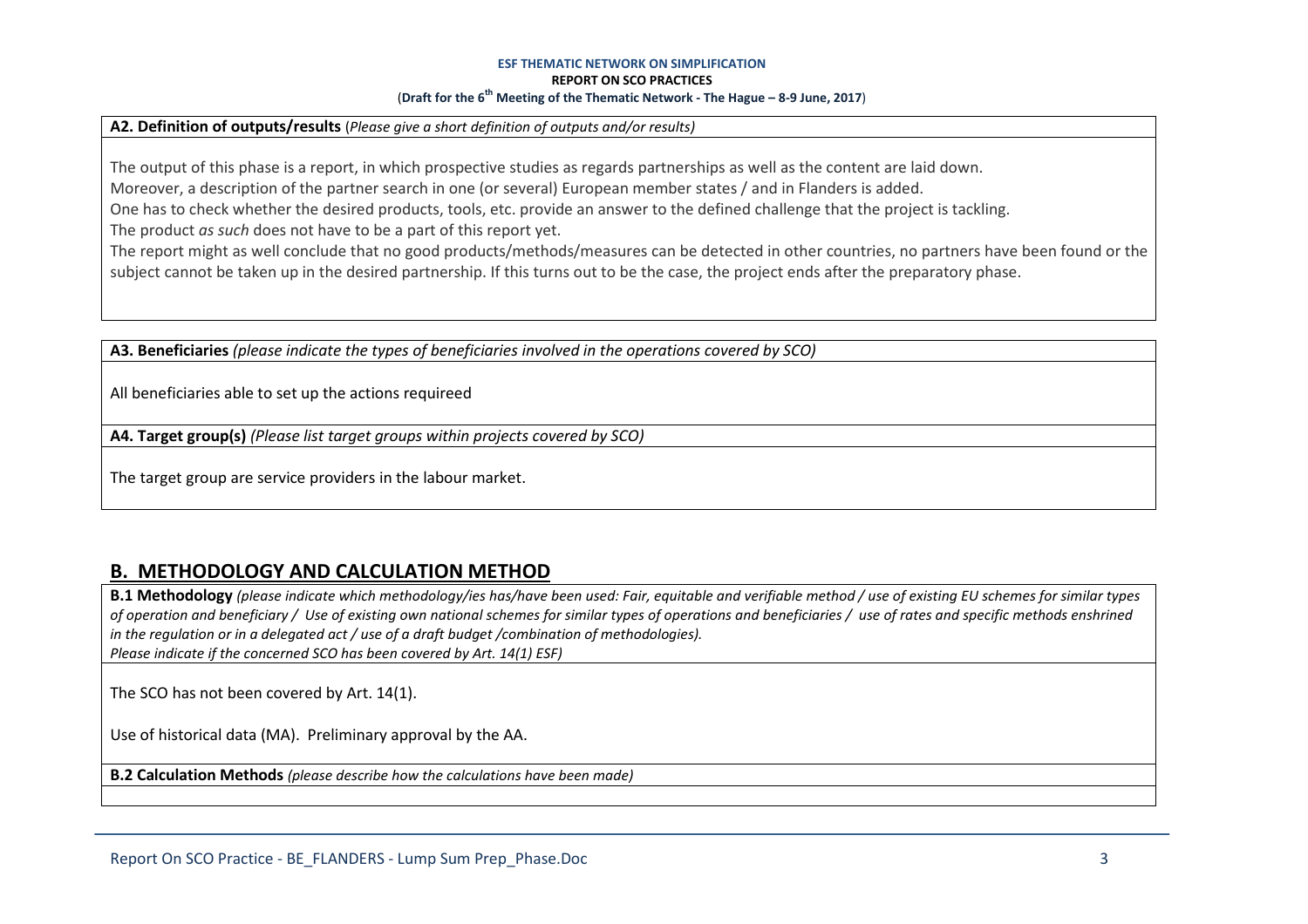#### **A2. Definition of outputs/results** (*Please give a short definition of outputs and/or results)*

The output of this phase is a report, in which prospective studies as regards partnerships as well as the content are laid down.

Moreover, a description of the partner search in one (or several) European member states / and in Flanders is added.

One has to check whether the desired products, tools, etc. provide an answer to the defined challenge that the project is tackling.

The product *as such* does not have to be a part of this report yet.

The report might as well conclude that no good products/methods/measures can be detected in other countries, no partners have been found or the subject cannot be taken up in the desired partnership. If this turns out to be the case, the project ends after the preparatory phase.

**A3. Beneficiaries** *(please indicate the types of beneficiaries involved in the operations covered by SCO)*

All beneficiaries able to set up the actions requireed

**A4. Target group(s)** *(Please list target groups within projects covered by SCO)*

The target group are service providers in the labour market.

## **B. METHODOLOGY AND CALCULATION METHOD**

**B.1 Methodology** *(please indicate which methodology/ies has/have been used: Fair, equitable and verifiable method / use of existing EU schemes for similar types of operation and beneficiary / Use of existing own national schemes for similar types of operations and beneficiaries / use of rates and specific methods enshrined in the regulation or in a delegated act / use of a draft budget /combination of methodologies). Please indicate if the concerned SCO has been covered by Art. 14(1) ESF)*

The SCO has not been covered by Art. 14(1).

Use of historical data (MA). Preliminary approval by the AA.

**B.2 Calculation Methods** *(please describe how the calculations have been made)*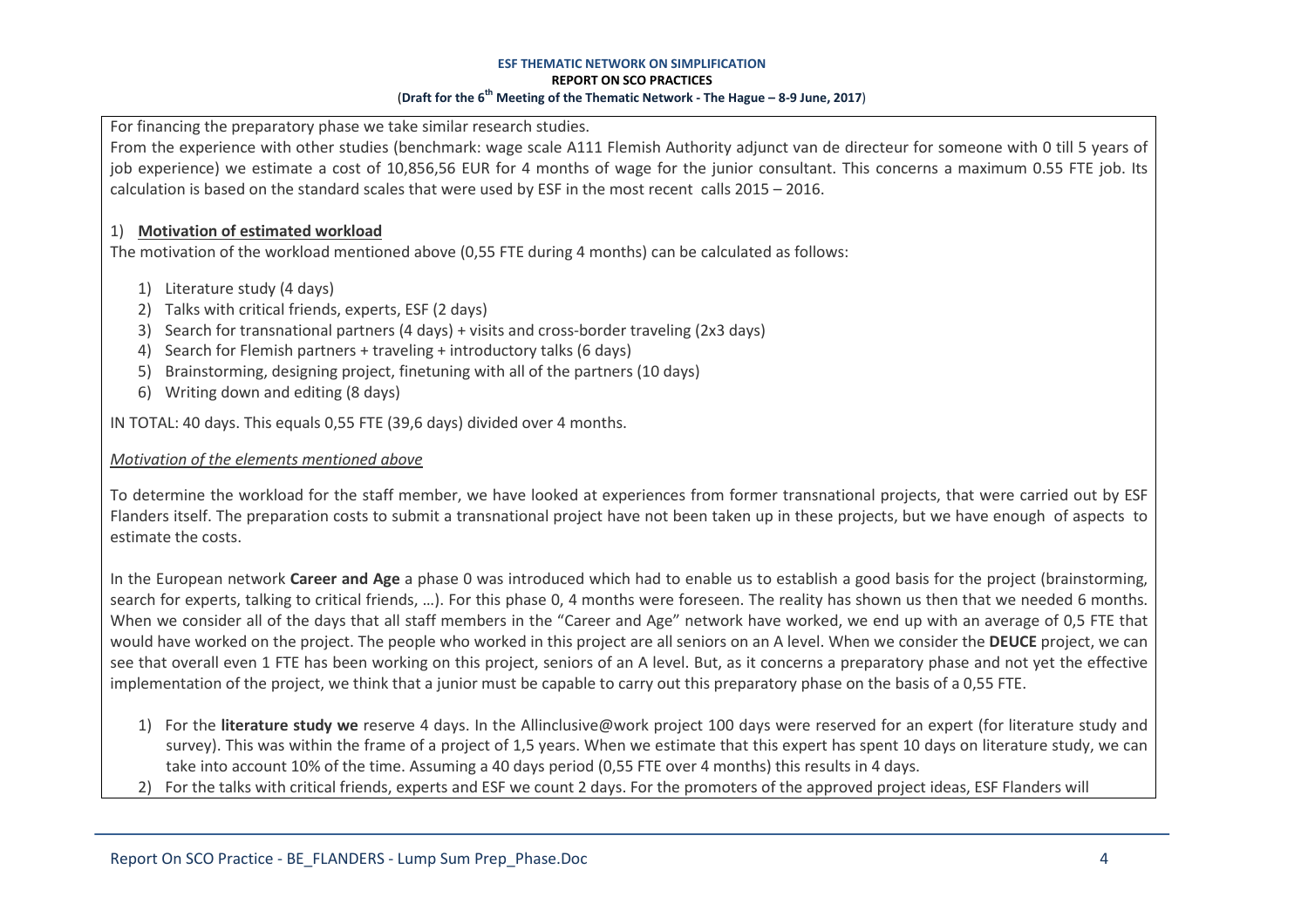For financing the preparatory phase we take similar research studies.

From the experience with other studies (benchmark: wage scale A111 Flemish Authority adjunct van de directeur for someone with 0 till 5 years of job experience) we estimate a cost of 10,856,56 EUR for 4 months of wage for the junior consultant. This concerns a maximum 0.55 FTE job. Its calculation is based on the standard scales that were used by ESF in the most recent calls 2015 – 2016.

### 1) **Motivation of estimated workload**

The motivation of the workload mentioned above (0,55 FTE during 4 months) can be calculated as follows:

- 1) Literature study (4 days)
- 2) Talks with critical friends, experts, ESF (2 days)
- 3) Search for transnational partners (4 days) + visits and cross-border traveling (2x3 days)
- 4) Search for Flemish partners + traveling + introductory talks (6 days)
- 5) Brainstorming, designing project, finetuning with all of the partners (10 days)
- 6) Writing down and editing (8 days)

IN TOTAL: 40 days. This equals 0,55 FTE (39,6 days) divided over 4 months.

### *Motivation of the elements mentioned above*

To determine the workload for the staff member, we have looked at experiences from former transnational projects, that were carried out by ESF Flanders itself. The preparation costs to submit a transnational project have not been taken up in these projects, but we have enough of aspects to estimate the costs.

In the European network **Career and Age** a phase 0 was introduced which had to enable us to establish a good basis for the project (brainstorming, search for experts, talking to critical friends, …). For this phase 0, 4 months were foreseen. The reality has shown us then that we needed 6 months. When we consider all of the days that all staff members in the "Career and Age" network have worked, we end up with an average of 0,5 FTE that would have worked on the project. The people who worked in this project are all seniors on an A level. When we consider the **DEUCE** project, we can see that overall even 1 FTE has been working on this project, seniors of an A level. But, as it concerns a preparatory phase and not yet the effective implementation of the project, we think that a junior must be capable to carry out this preparatory phase on the basis of a 0,55 FTE.

- 1) For the **literature study we** reserve 4 days. In the Allinclusive@work project 100 days were reserved for an expert (for literature study and survey). This was within the frame of a project of 1,5 years. When we estimate that this expert has spent 10 days on literature study, we can take into account 10% of the time. Assuming a 40 days period (0,55 FTE over 4 months) this results in 4 days.
- 2) For the talks with critical friends, experts and ESF we count 2 days. For the promoters of the approved project ideas, ESF Flanders will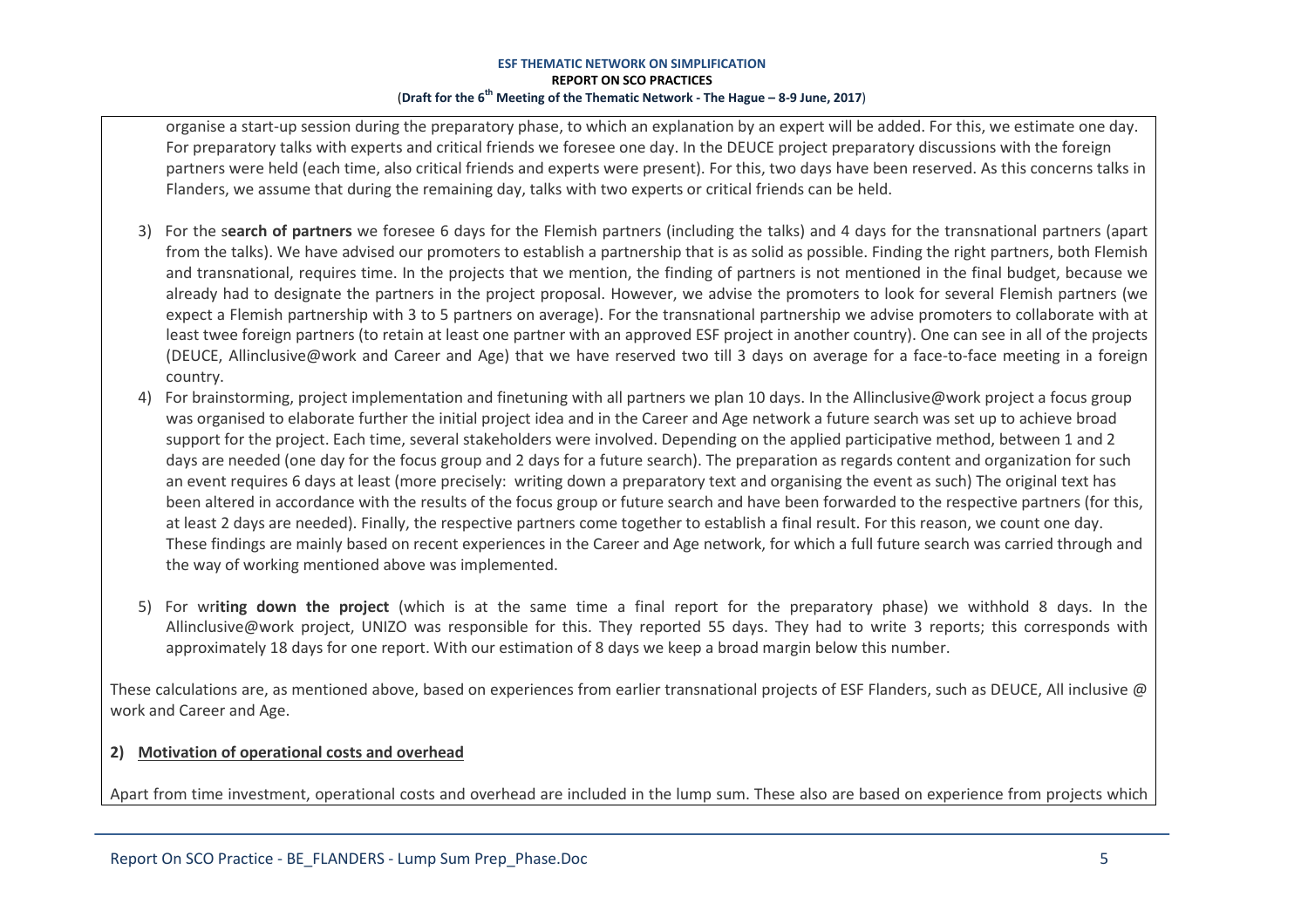organise a start-up session during the preparatory phase, to which an explanation by an expert will be added. For this, we estimate one day. For preparatory talks with experts and critical friends we foresee one day. In the DEUCE project preparatory discussions with the foreign partners were held (each time, also critical friends and experts were present). For this, two days have been reserved. As this concerns talks in Flanders, we assume that during the remaining day, talks with two experts or critical friends can be held.

- 3) For the s**earch of partners** we foresee 6 days for the Flemish partners (including the talks) and 4 days for the transnational partners (apart from the talks). We have advised our promoters to establish a partnership that is as solid as possible. Finding the right partners, both Flemish and transnational, requires time. In the projects that we mention, the finding of partners is not mentioned in the final budget, because we already had to designate the partners in the project proposal. However, we advise the promoters to look for several Flemish partners (we expect a Flemish partnership with 3 to 5 partners on average). For the transnational partnership we advise promoters to collaborate with at least twee foreign partners (to retain at least one partner with an approved ESF project in another country). One can see in all of the projects (DEUCE, Allinclusive@work and Career and Age) that we have reserved two till 3 days on average for a face-to-face meeting in a foreign country.
- 4) For brainstorming, project implementation and finetuning with all partners we plan 10 days. In the Allinclusive@work project a focus group was organised to elaborate further the initial project idea and in the Career and Age network a future search was set up to achieve broad support for the project. Each time, several stakeholders were involved. Depending on the applied participative method, between 1 and 2 days are needed (one day for the focus group and 2 days for a future search). The preparation as regards content and organization for such an event requires 6 days at least (more precisely: writing down a preparatory text and organising the event as such) The original text has been altered in accordance with the results of the focus group or future search and have been forwarded to the respective partners (for this, at least 2 days are needed). Finally, the respective partners come together to establish a final result. For this reason, we count one day. These findings are mainly based on recent experiences in the Career and Age network, for which a full future search was carried through and the way of working mentioned above was implemented.
- 5) For wr**iting down the project** (which is at the same time a final report for the preparatory phase) we withhold 8 days. In the Allinclusive@work project, UNIZO was responsible for this. They reported 55 days. They had to write 3 reports; this corresponds with approximately 18 days for one report. With our estimation of 8 days we keep a broad margin below this number.

These calculations are, as mentioned above, based on experiences from earlier transnational projects of ESF Flanders, such as DEUCE, All inclusive  $\omega$ work and Career and Age.

### **2) Motivation of operational costs and overhead**

Apart from time investment, operational costs and overhead are included in the lump sum. These also are based on experience from projects which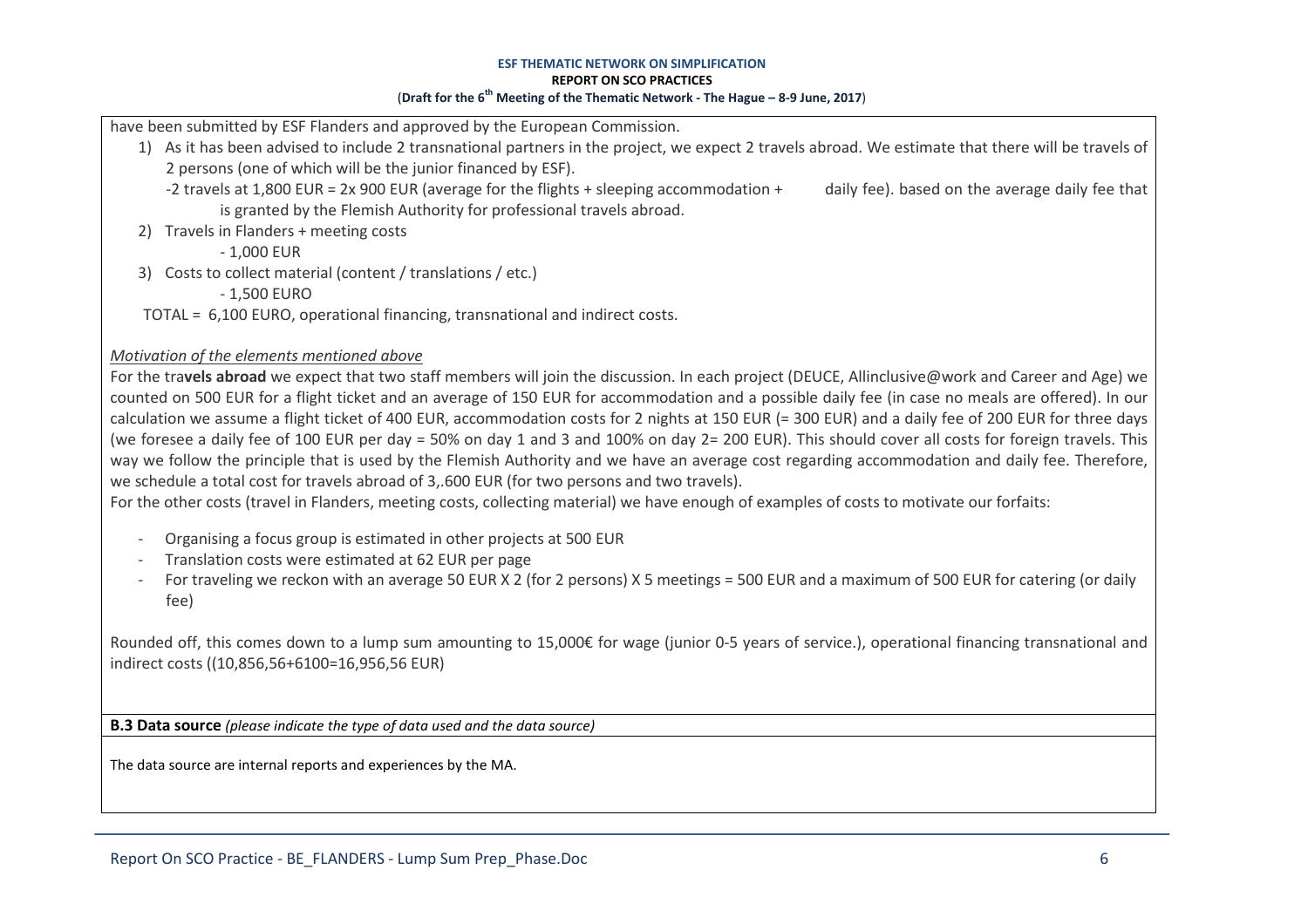have been submitted by ESF Flanders and approved by the European Commission.

- 1) As it has been advised to include 2 transnational partners in the project, we expect 2 travels abroad. We estimate that there will be travels of 2 persons (one of which will be the junior financed by ESF).
	- -2 travels at 1,800 EUR = 2x 900 EUR (average for the flights + sleeping accommodation + daily fee). based on the average daily fee that is granted by the Flemish Authority for professional travels abroad.
- 2) Travels in Flanders + meeting costs

- 1,000 EUR

3) Costs to collect material (content / translations / etc.)

- 1,500 EURO

TOTAL = 6,100 EURO, operational financing, transnational and indirect costs.

### *Motivation of the elements mentioned above*

For the tra**vels abroad** we expect that two staff members will join the discussion. In each project (DEUCE, Allinclusive@work and Career and Age) we counted on 500 EUR for a flight ticket and an average of 150 EUR for accommodation and a possible daily fee (in case no meals are offered). In our calculation we assume a flight ticket of 400 EUR, accommodation costs for 2 nights at 150 EUR (= 300 EUR) and a daily fee of 200 EUR for three days (we foresee a daily fee of 100 EUR per day = 50% on day 1 and 3 and 100% on day 2= 200 EUR). This should cover all costs for foreign travels. This way we follow the principle that is used by the Flemish Authority and we have an average cost regarding accommodation and daily fee. Therefore, we schedule a total cost for travels abroad of 3,.600 EUR (for two persons and two travels).

For the other costs (travel in Flanders, meeting costs, collecting material) we have enough of examples of costs to motivate our forfaits: -

- Organising a focus group is estimated in other projects at 500 EUR -
- Translation costs were estimated at 62 EUR per page
- For traveling we reckon with an average 50 EUR X 2 (for 2 persons) X 5 meetings = 500 EUR and a maximum of 500 EUR for catering (or daily fee)

Rounded off, this comes down to a lump sum amounting to 15,000€ for wage (junior 0-5 years of service.), operational financing transnational and indirect costs ((10,856,56+6100=16,956,56 EUR)

**B.3 Data source** *(please indicate the type of data used and the data source)*

The data source are internal reports and experiences by the MA.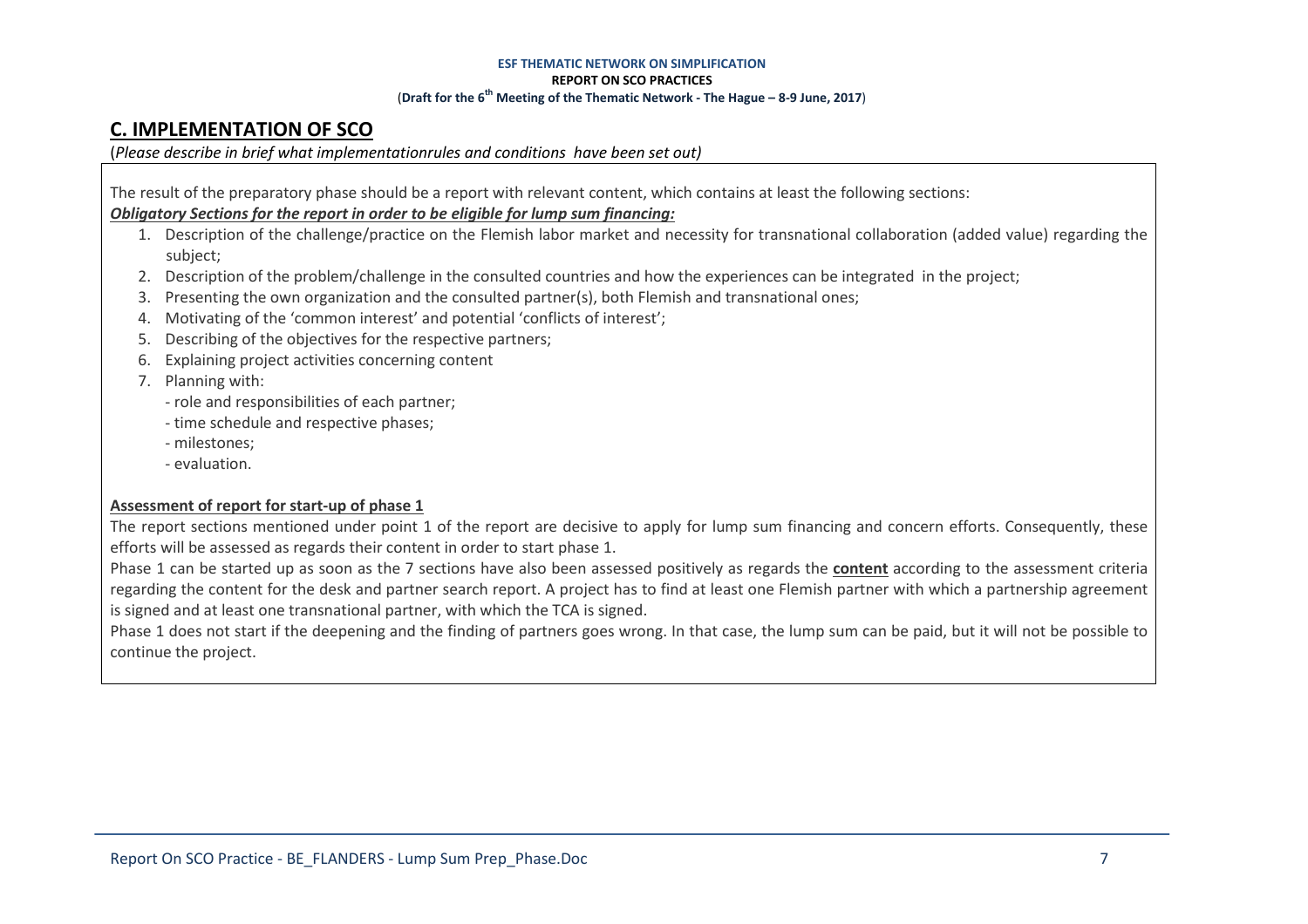## **C. IMPLEMENTATION OF SCO**

(*Please describe in brief what implementationrules and conditions have been set out)*

The result of the preparatory phase should be a report with relevant content, which contains at least the following sections:

### *Obligatory Sections for the report in order to be eligible for lump sum financing:*

- 1. Description of the challenge/practice on the Flemish labor market and necessity for transnational collaboration (added value) regarding the subject;
- 2. Description of the problem/challenge in the consulted countries and how the experiences can be integrated in the project;
- 3. Presenting the own organization and the consulted partner(s), both Flemish and transnational ones;
- 4. Motivating of the 'common interest' and potential 'conflicts of interest';
- 5. Describing of the objectives for the respective partners;
- 6. Explaining project activities concerning content
- 7. Planning with:
	- role and responsibilities of each partner;
	- time schedule and respective phases;
	- milestones;
	- evaluation.

### **Assessment of report for start-up of phase 1**

The report sections mentioned under point 1 of the report are decisive to apply for lump sum financing and concern efforts. Consequently, these efforts will be assessed as regards their content in order to start phase 1.

Phase 1 can be started up as soon as the 7 sections have also been assessed positively as regards the **content** according to the assessment criteria regarding the content for the desk and partner search report. A project has to find at least one Flemish partner with which a partnership agreement is signed and at least one transnational partner, with which the TCA is signed.

Phase 1 does not start if the deepening and the finding of partners goes wrong. In that case, the lump sum can be paid, but it will not be possible to continue the project.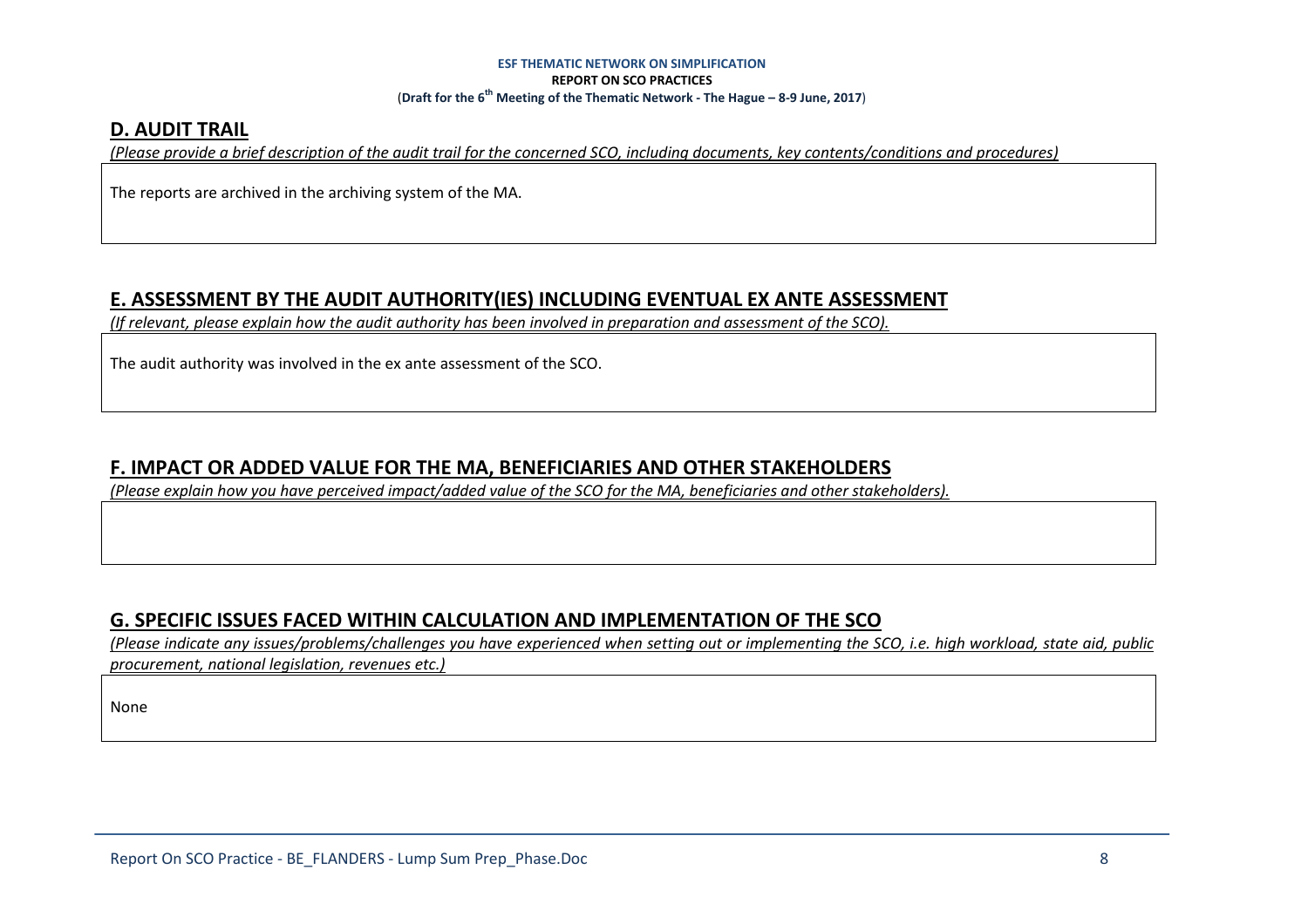### **D. AUDIT TRAIL**

*(Please provide a brief description of the audit trail for the concerned SCO, including documents, key contents/conditions and procedures)* 

The reports are archived in the archiving system of the MA.

## **E. ASSESSMENT BY THE AUDIT AUTHORITY(IES) INCLUDING EVENTUAL EX ANTE ASSESSMENT**

*(If relevant, please explain how the audit authority has been involved in preparation and assessment of the SCO).* 

The audit authority was involved in the ex ante assessment of the SCO.

## **F. IMPACT OR ADDED VALUE FOR THE MA, BENEFICIARIES AND OTHER STAKEHOLDERS**

*(Please explain how you have perceived impact/added value of the SCO for the MA, beneficiaries and other stakeholders).* 

## **G. SPECIFIC ISSUES FACED WITHIN CALCULATION AND IMPLEMENTATION OF THE SCO**

 *(Please indicate any issues/problems/challenges you have experienced when setting out or implementing the SCO, i.e. high workload, state aid, public procurement, national legislation, revenues etc.)* 

None